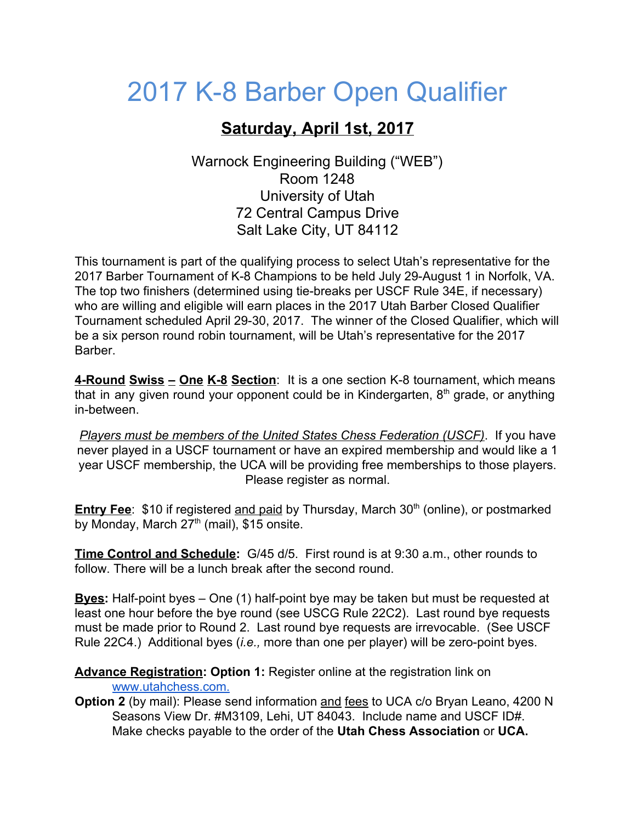## 2017 K-8 Barber Open Qualifier

## **Saturday, April 1st, 2017**

Warnock Engineering Building ("WEB") Room 1248 University of Utah 72 Central Campus Drive Salt Lake City, UT 84112

This tournament is part of the qualifying process to select Utah's representative for the 2017 Barber Tournament of K-8 Champions to be held July 29-August 1 in Norfolk, VA. The top two finishers (determined using tie-breaks per USCF Rule 34E, if necessary) who are willing and eligible will earn places in the 2017 Utah Barber Closed Qualifier Tournament scheduled April 29-30, 2017. The winner of the Closed Qualifier, which will be a six person round robin tournament, will be Utah's representative for the 2017 Barber.

**4-Round Swiss – One K-8 Section**: It is a one section K-8 tournament, which means that in any given round your opponent could be in Kindergarten, 8<sup>th</sup> grade, or anything in-between.

*Players must be members of the United States Chess Federation (USCF)*. If you have never played in a USCF tournament or have an expired membership and would like a 1 year USCF membership, the UCA will be providing free memberships to those players. Please register as normal.

**<u>Entry Fee</u>: \$10** if registered <u>and paid</u> by Thursday, March 30<sup>th</sup> (online), or postmarked by Monday, March  $27<sup>th</sup>$  (mail), \$15 onsite.

**Time Control and Schedule:**  G/45 d/5. First round is at 9:30 a.m., other rounds to follow. There will be a lunch break after the second round.

**Byes:** Half-point byes – One (1) half-point bye may be taken but must be requested at least one hour before the bye round (see USCG Rule 22C2). Last round bye requests must be made prior to Round 2. Last round bye requests are irrevocable. (See USCF Rule 22C4.) Additional byes (*i.e.,* more than one per player) will be zero-point byes.

**Advance Registration: Option 1:** Register online at the registration link on [www.utahchess.com.](https://onlineregistration.cc/UCA/2017BarberOpenQualifier)

**Option 2** (by mail): Please send information and fees to UCA c/o Bryan Leano, 4200 N Seasons View Dr. #M3109, Lehi, UT 84043. Include name and USCF ID#. Make checks payable to the order of the **Utah Chess Association** or **UCA.**